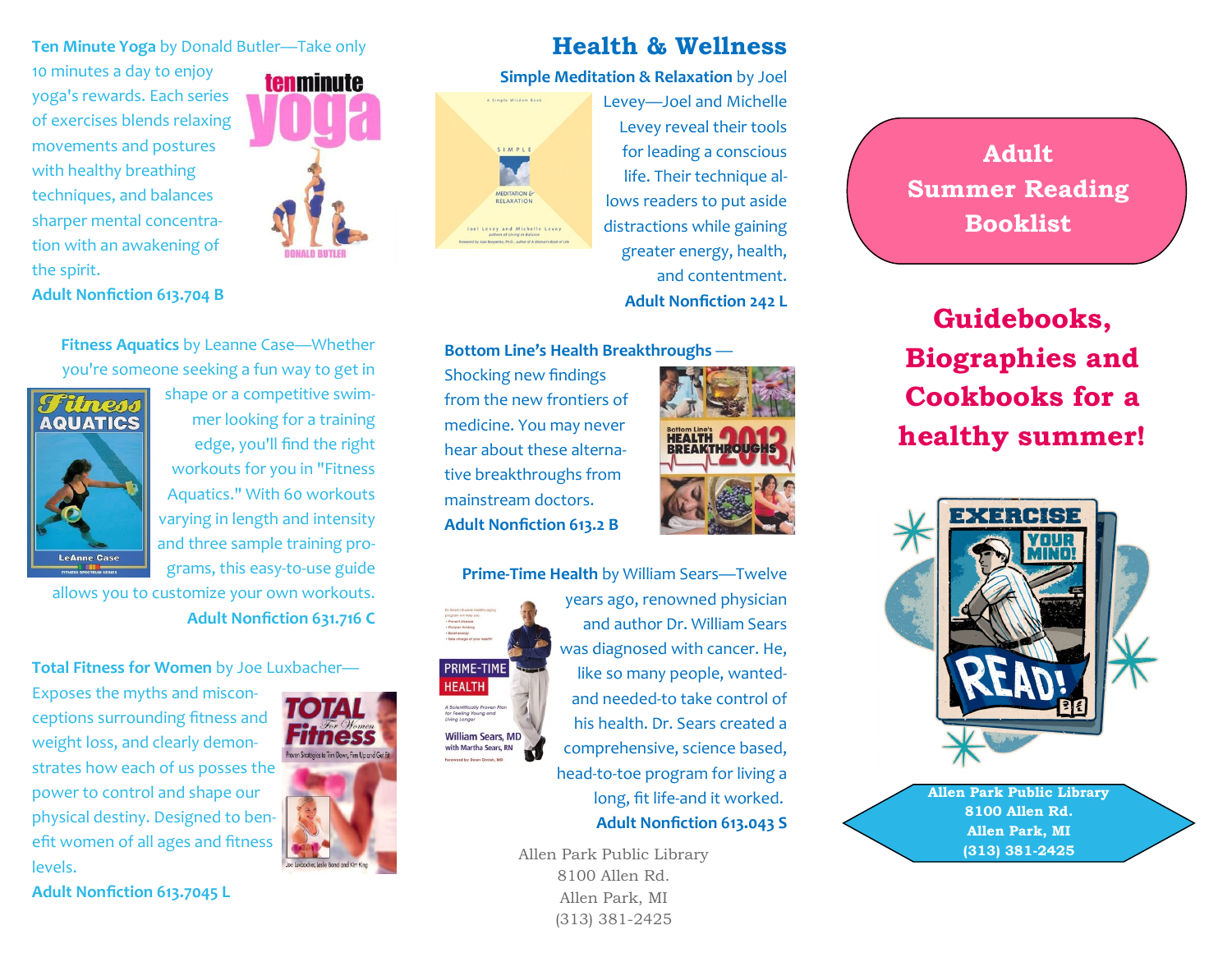#### **Ten Minute Yoga** by Donald Butler—Take only

10 minutes a day to enjoy yoga's rewards. Each series of exercises blends relaxing movements and postures with healthy breathing techniques, and balances sharper mental concentration with an awakening of the spirit.

**Adult Nonfiction 613.704 B**



## **Health & Wellness**

#### **Simple Meditation & Relaxation** by Joel



Levey—Joel and Michelle Levey reveal their tools for leading a conscious life. Their technique allows readers to put aside distractions while gaining greater energy, health, and contentment. **Adult Nonfiction 242 L**

#### **Bottom Line's Health Breakthroughs** —

Shocking new findings from the new frontiers of medicine. You may never hear about these alternative breakthroughs from mainstream doctors. **Adult Nonfiction 613.2 B**

**HEALTH** A Scientifically Prove<mark>l</mark><br>for Feeling Young and<br>Llving Longer



**Prime-Time Health** by William Sears—Twelve years ago, renowned physician and author Dr. William Sears was diagnosed with cancer. He, **PRIME-TIME** like so many people, wantedand needed-to take control of his health. Dr. Sears created a **William Sears, MD** with Martha Sears, RN comprehensive, science based, head-to-toe program for living a long, fit life-and it worked. **Adult Nonfiction 613.043 S**

> Allen Park Public Library 8100 Allen Rd. Allen Park, MI (313) 381-2425



**Guidebooks, Biographies and Cookbooks for a healthy summer!**



**Allen Park Public Library 8100 Allen Rd. Allen Park, MI (313) 381-2425**

**Fitness Aquatics** by Leanne Case—Whether you're someone seeking a fun way to get in



shape or a competitive swimmer looking for a training edge, you'll find the right workouts for you in "Fitness Aquatics." With 60 workouts varying in length and intensity and three sample training programs, this easy-to-use guide

allows you to customize your own workouts. **Adult Nonfiction 631.716 C**

**Total Fitness for Women** by Joe Luxbacher—

Exposes the myths and misconceptions surrounding fitness and weight loss, and clearly demonstrates how each of us posses the power to control and shape our physical destiny. Designed to benefit women of all ages and fitness levels.



**Adult Nonfiction 613.7045 L**